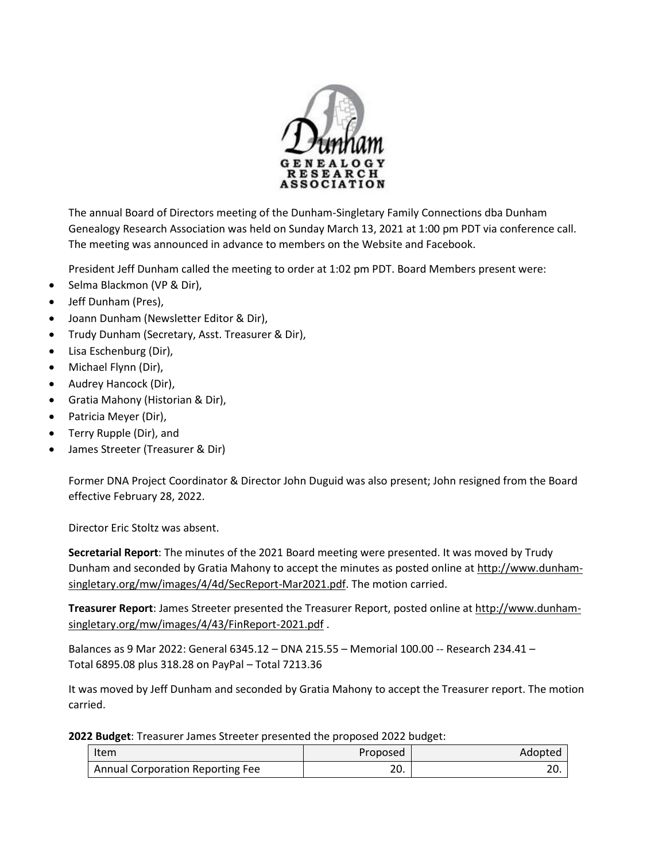

The annual Board of Directors meeting of the Dunham-Singletary Family Connections dba Dunham Genealogy Research Association was held on Sunday March 13, 2021 at 1:00 pm PDT via conference call. The meeting was announced in advance to members on the Website and Facebook.

President Jeff Dunham called the meeting to order at 1:02 pm PDT. Board Members present were:

- Selma Blackmon (VP & Dir),
- Jeff Dunham (Pres),
- Joann Dunham (Newsletter Editor & Dir),
- Trudy Dunham (Secretary, Asst. Treasurer & Dir),
- Lisa Eschenburg (Dir),
- Michael Flynn (Dir),
- Audrey Hancock (Dir),
- Gratia Mahony (Historian & Dir),
- Patricia Meyer (Dir),
- Terry Rupple (Dir), and
- James Streeter (Treasurer & Dir)

Former DNA Project Coordinator & Director John Duguid was also present; John resigned from the Board effective February 28, 2022.

Director Eric Stoltz was absent.

**Secretarial Report**: The minutes of the 2021 Board meeting were presented. It was moved by Trudy Dunham and seconded by Gratia Mahony to accept the minutes as posted online at [http://www.dunham](http://www.dunham-singletary.org/mw/images/4/4d/SecReport-Mar2021.pdf)[singletary.org/mw/images/4/4d/SecReport-Mar2021.pdf.](http://www.dunham-singletary.org/mw/images/4/4d/SecReport-Mar2021.pdf) The motion carried.

**Treasurer Report**: James Streeter presented the Treasurer Report, posted online at [http://www.dunham](http://www.dunham-singletary.org/mw/images/4/43/FinReport-2021.pdf)[singletary.org/mw/images/4/43/FinReport-2021.pdf](http://www.dunham-singletary.org/mw/images/4/43/FinReport-2021.pdf) .

Balances as 9 Mar 2022: General 6345.12 – DNA 215.55 – Memorial 100.00 -- Research 234.41 – Total 6895.08 plus 318.28 on PayPal – Total 7213.36

It was moved by Jeff Dunham and seconded by Gratia Mahony to accept the Treasurer report. The motion carried.

**2022 Budget**: Treasurer James Streeter presented the proposed 2022 budget:

| Item                             | Proposed | Adopted |
|----------------------------------|----------|---------|
| Annual Corporation Reporting Fee | 20.      | zu.     |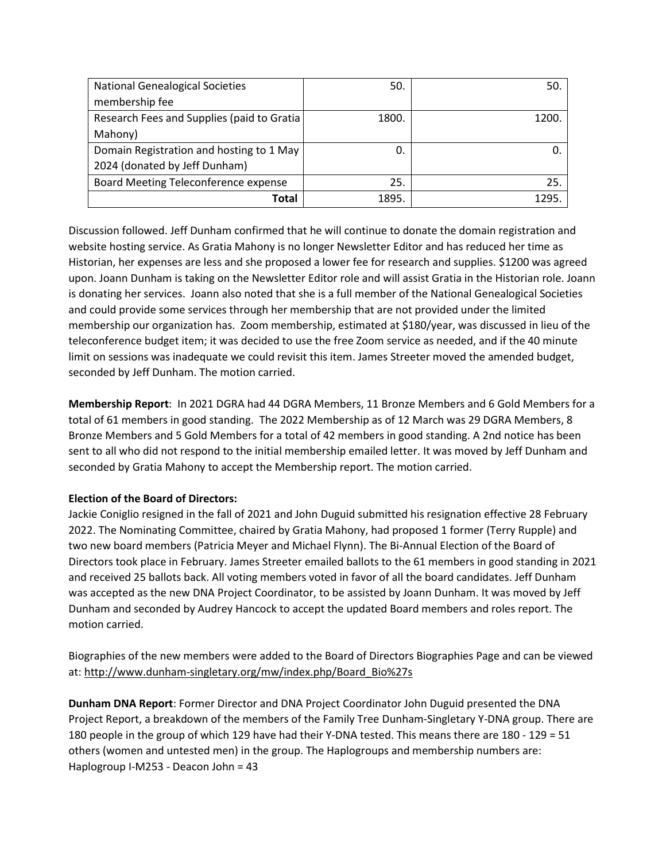| <b>National Genealogical Societies</b>     | 50.   | 50.   |
|--------------------------------------------|-------|-------|
| membership fee                             |       |       |
| Research Fees and Supplies (paid to Gratia | 1800. | 1200. |
| Mahony)                                    |       |       |
| Domain Registration and hosting to 1 May   | 0.    |       |
| 2024 (donated by Jeff Dunham)              |       |       |
| Board Meeting Teleconference expense       | 25.   | 25.   |
| Total                                      | 1895. |       |

Discussion followed. Jeff Dunham confirmed that he will continue to donate the domain registration and website hosting service. As Gratia Mahony is no longer Newsletter Editor and has reduced her time as Historian, her expenses are less and she proposed a lower fee for research and supplies. \$1200 was agreed upon. Joann Dunham is taking on the Newsletter Editor role and will assist Gratia in the Historian role. Joann is donating her services. Joann also noted that she is a full member of the National Genealogical Societies and could provide some services through her membership that are not provided under the limited membership our organization has. Zoom membership, estimated at \$180/year, was discussed in lieu of the teleconference budget item; it was decided to use the free Zoom service as needed, and if the 40 minute limit on sessions was inadequate we could revisit this item. James Streeter moved the amended budget, seconded by Jeff Dunham. The motion carried.

**Membership Report**: In 2021 DGRA had 44 DGRA Members, 11 Bronze Members and 6 Gold Members for a total of 61 members in good standing. The 2022 Membership as of 12 March was 29 DGRA Members, 8 Bronze Members and 5 Gold Members for a total of 42 members in good standing. A 2nd notice has been sent to all who did not respond to the initial membership emailed letter. It was moved by Jeff Dunham and seconded by Gratia Mahony to accept the Membership report. The motion carried.

## **Election of the Board of Directors:**

Jackie Coniglio resigned in the fall of 2021 and John Duguid submitted his resignation effective 28 February 2022. The Nominating Committee, chaired by Gratia Mahony, had proposed 1 former (Terry Rupple) and two new board members (Patricia Meyer and Michael Flynn). The Bi-Annual Election of the Board of Directors took place in February. James Streeter emailed ballots to the 61 members in good standing in 2021 and received 25 ballots back. All voting members voted in favor of all the board candidates. Jeff Dunham was accepted as the new DNA Project Coordinator, to be assisted by Joann Dunham. It was moved by Jeff Dunham and seconded by Audrey Hancock to accept the updated Board members and roles report. The motion carried.

Biographies of the new members were added to the Board of Directors Biographies Page and can be viewed at: [http://www.dunham-singletary.org/mw/index.php/Board\\_Bio%27s](http://www.dunham-singletary.org/mw/index.php/Board_Bio%27s)

**Dunham DNA Report**: Former Director and DNA Project Coordinator John Duguid presented the DNA Project Report, a breakdown of the members of the Family Tree Dunham-Singletary Y-DNA group. There are 180 people in the group of which 129 have had their Y-DNA tested. This means there are 180 - 129 = 51 others (women and untested men) in the group. The Haplogroups and membership numbers are: Haplogroup I-M253 - Deacon John = 43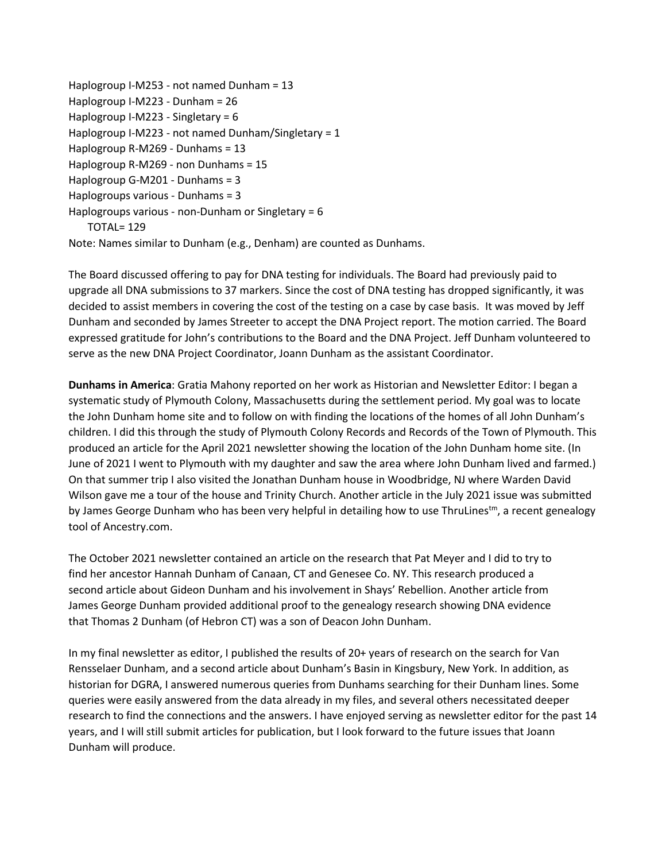Haplogroup I-M253 - not named Dunham = 13 Haplogroup I-M223 - Dunham = 26 Haplogroup I-M223 - Singletary = 6 Haplogroup I-M223 - not named Dunham/Singletary = 1 Haplogroup R-M269 - Dunhams = 13 Haplogroup R-M269 - non Dunhams = 15 Haplogroup G-M201 - Dunhams = 3 Haplogroups various - Dunhams = 3 Haplogroups various - non-Dunham or Singletary = 6 TOTAL= 129 Note: Names similar to Dunham (e.g., Denham) are counted as Dunhams.

The Board discussed offering to pay for DNA testing for individuals. The Board had previously paid to upgrade all DNA submissions to 37 markers. Since the cost of DNA testing has dropped significantly, it was decided to assist members in covering the cost of the testing on a case by case basis. It was moved by Jeff Dunham and seconded by James Streeter to accept the DNA Project report. The motion carried. The Board expressed gratitude for John's contributions to the Board and the DNA Project. Jeff Dunham volunteered to serve as the new DNA Project Coordinator, Joann Dunham as the assistant Coordinator.

**Dunhams in America**: Gratia Mahony reported on her work as Historian and Newsletter Editor: I began a systematic study of Plymouth Colony, Massachusetts during the settlement period. My goal was to locate the John Dunham home site and to follow on with finding the locations of the homes of all John Dunham's children. I did this through the study of Plymouth Colony Records and Records of the Town of Plymouth. This produced an article for the April 2021 newsletter showing the location of the John Dunham home site. (In June of 2021 I went to Plymouth with my daughter and saw the area where John Dunham lived and farmed.) On that summer trip I also visited the Jonathan Dunham house in Woodbridge, NJ where Warden David Wilson gave me a tour of the house and Trinity Church. Another article in the July 2021 issue was submitted by James George Dunham who has been very helpful in detailing how to use ThruLines<sup>tm</sup>, a recent genealogy tool of Ancestry.com.

The October 2021 newsletter contained an article on the research that Pat Meyer and I did to try to find her ancestor Hannah Dunham of Canaan, CT and Genesee Co. NY. This research produced a second article about Gideon Dunham and his involvement in Shays' Rebellion. Another article from James George Dunham provided additional proof to the genealogy research showing DNA evidence that Thomas 2 Dunham (of Hebron CT) was a son of Deacon John Dunham.

In my final newsletter as editor, I published the results of 20+ years of research on the search for Van Rensselaer Dunham, and a second article about Dunham's Basin in Kingsbury, New York. In addition, as historian for DGRA, I answered numerous queries from Dunhams searching for their Dunham lines. Some queries were easily answered from the data already in my files, and several others necessitated deeper research to find the connections and the answers. I have enjoyed serving as newsletter editor for the past 14 years, and I will still submit articles for publication, but I look forward to the future issues that Joann Dunham will produce.